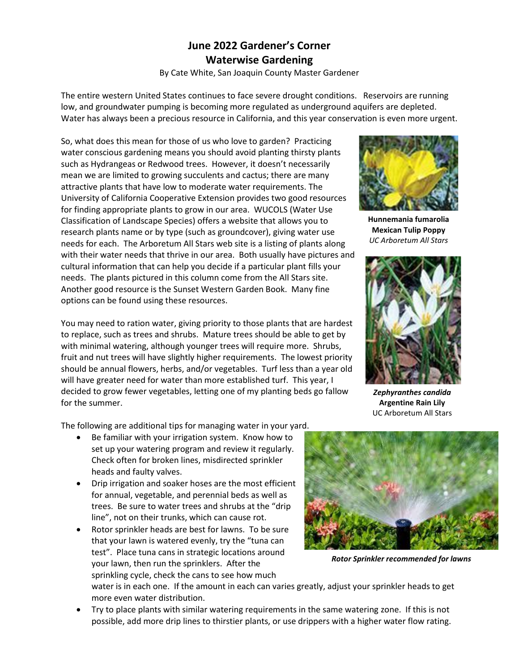## **June 2022 Gardener's Corner Waterwise Gardening**

By Cate White, San Joaquin County Master Gardener

The entire western United States continues to face severe drought conditions. Reservoirs are running low, and groundwater pumping is becoming more regulated as underground aquifers are depleted. Water has always been a precious resource in California, and this year conservation is even more urgent.

So, what does this mean for those of us who love to garden? Practicing water conscious gardening means you should avoid planting thirsty plants such as Hydrangeas or Redwood trees. However, it doesn't necessarily mean we are limited to growing succulents and cactus; there are many attractive plants that have low to moderate water requirements. The University of California Cooperative Extension provides two good resources for finding appropriate plants to grow in our area. WUCOLS (Water Use Classification of Landscape Species) offers a website that allows you to research plants name or by type (such as groundcover), giving water use needs for each. The Arboretum All Stars web site is a listing of plants along with their water needs that thrive in our area. Both usually have pictures and cultural information that can help you decide if a particular plant fills your needs. The plants pictured in this column come from the All Stars site. Another good resource is the Sunset Western Garden Book. Many fine options can be found using these resources.

You may need to ration water, giving priority to those plants that are hardest to replace, such as trees and shrubs. Mature trees should be able to get by with minimal watering, although younger trees will require more. Shrubs, fruit and nut trees will have slightly higher requirements. The lowest priority should be annual flowers, herbs, and/or vegetables. Turf less than a year old will have greater need for water than more established turf. This year, I decided to grow fewer vegetables, letting one of my planting beds go fallow for the summer.

The following are additional tips for managing water in your yard.

- Be familiar with your irrigation system. Know how to set up your watering program and review it regularly. Check often for broken lines, misdirected sprinkler heads and faulty valves.
- Drip irrigation and soaker hoses are the most efficient for annual, vegetable, and perennial beds as well as trees. Be sure to water trees and shrubs at the "drip line", not on their trunks, which can cause rot.
- Rotor sprinkler heads are best for lawns. To be sure that your lawn is watered evenly, try the "tuna can test". Place tuna cans in strategic locations around your lawn, then run the sprinklers. After the sprinkling cycle, check the cans to see how much



**Hunnemania fumarolia Mexican Tulip Poppy** *UC Arboretum All Stars* 



*Zephyranthes candida* **Argentine Rain Lily** UC Arboretum All Stars



*Rotor Sprinkler recommended for lawns*

water is in each one. If the amount in each can varies greatly, adjust your sprinkler heads to get more even water distribution.

• Try to place plants with similar watering requirements in the same watering zone. If this is not possible, add more drip lines to thirstier plants, or use drippers with a higher water flow rating.